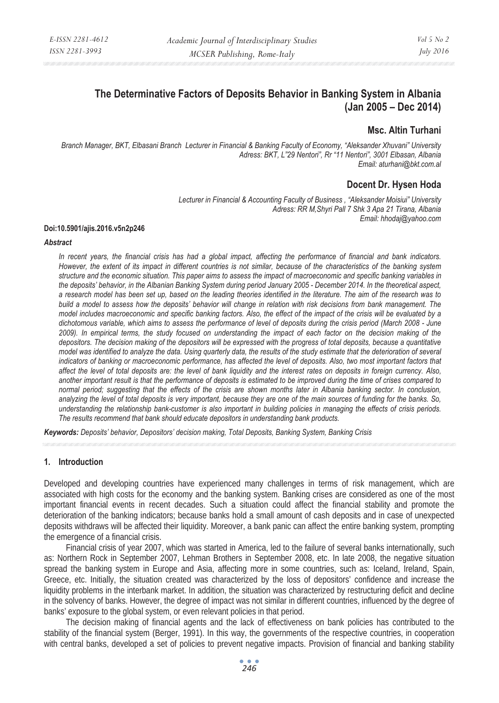# **The Determinative Factors of Deposits Behavior in Banking System in Albania (Jan 2005 – Dec 2014)**

## **Msc. Altin Turhani**

*Branch Manager, BKT, Elbasani Branch Lecturer in Financial & Banking Faculty of Economy, "Aleksander Xhuvani" University Adress: BKT, L"29 Nentori", Rr "11 Nentori", 3001 Elbasan, Albania Email: aturhani@bkt.com.al* 

## **Docent Dr. Hysen Hoda**

*Lecturer in Financial & Accounting Faculty of Business , "Aleksander Moisiui" University Adress: RR M,Shyri Pall 7 Shk 3 Apa 21 Tirana, Albania Email: hhodaj@yahoo.com* 

#### **Doi:10.5901/ajis.2016.v5n2p246**

#### *Abstract*

*In recent years, the financial crisis has had a global impact, affecting the performance of financial and bank indicators. However, the extent of its impact in different countries is not similar, because of the characteristics of the banking system structure and the economic situation. This paper aims to assess the impact of macroeconomic and specific banking variables in the deposits' behavior, in the Albanian Banking System during period January 2005 - December 2014. In the theoretical aspect, a research model has been set up, based on the leading theories identified in the literature. The aim of the research was to build a model to assess how the deposits' behavior will change in relation with risk decisions from bank management. The model includes macroeconomic and specific banking factors. Also, the effect of the impact of the crisis will be evaluated by a dichotomous variable, which aims to assess the performance of level of deposits during the crisis period (March 2008 - June 2009). In empirical terms, the study focused on understanding the impact of each factor on the decision making of the depositors. The decision making of the depositors will be expressed with the progress of total deposits, because a quantitative model was identified to analyze the data. Using quarterly data, the results of the study estimate that the deterioration of several indicators of banking or macroeconomic performance, has affected the level of deposits. Also, two most important factors that affect the level of total deposits are: the level of bank liquidity and the interest rates on deposits in foreign currency. Also, another important result is that the performance of deposits is estimated to be improved during the time of crises compared to normal period; suggesting that the effects of the crisis are shown months later in Albania banking sector. In conclusion, analyzing the level of total deposits is very important, because they are one of the main sources of funding for the banks. So, understanding the relationship bank-customer is also important in building policies in managing the effects of crisis periods. The results recommend that bank should educate depositors in understanding bank products.* 

*Keywords: Deposits' behavior, Depositors' decision making, Total Deposits, Banking System, Banking Crisis* 

#### **1. Introduction**

Developed and developing countries have experienced many challenges in terms of risk management, which are associated with high costs for the economy and the banking system. Banking crises are considered as one of the most important financial events in recent decades. Such a situation could affect the financial stability and promote the deterioration of the banking indicators; because banks hold a small amount of cash deposits and in case of unexpected deposits withdraws will be affected their liquidity. Moreover, a bank panic can affect the entire banking system, prompting the emergence of a financial crisis.

Financial crisis of year 2007, which was started in America, led to the failure of several banks internationally, such as: Northern Rock in September 2007, Lehman Brothers in September 2008, etc. In late 2008, the negative situation spread the banking system in Europe and Asia, affecting more in some countries, such as: Iceland, Ireland, Spain, Greece, etc. Initially, the situation created was characterized by the loss of depositors' confidence and increase the liquidity problems in the interbank market. In addition, the situation was characterized by restructuring deficit and decline in the solvency of banks. However, the degree of impact was not similar in different countries, influenced by the degree of banks' exposure to the global system, or even relevant policies in that period.

The decision making of financial agents and the lack of effectiveness on bank policies has contributed to the stability of the financial system (Berger, 1991). In this way, the governments of the respective countries, in cooperation with central banks, developed a set of policies to prevent negative impacts. Provision of financial and banking stability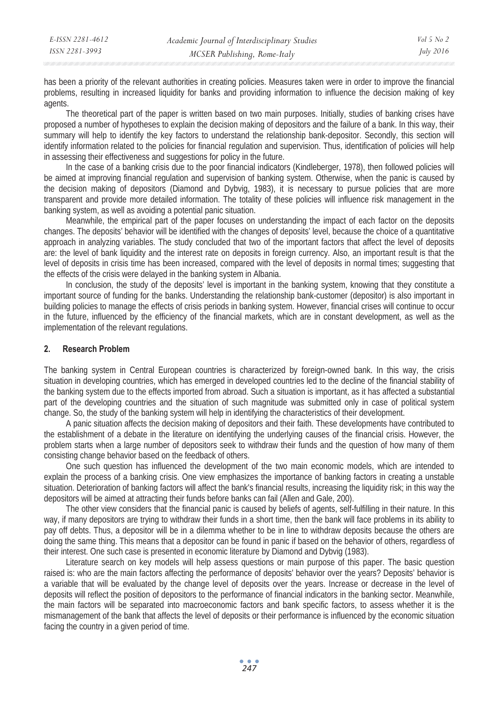| E-ISSN 2281-4612 | Academic Journal of Interdisciplinary Studies | Vol 5 No 2       |
|------------------|-----------------------------------------------|------------------|
| ISSN 2281-3993   | MCSER Publishing, Rome-Italy                  | <i>July 2016</i> |

has been a priority of the relevant authorities in creating policies. Measures taken were in order to improve the financial problems, resulting in increased liquidity for banks and providing information to influence the decision making of key agents.

The theoretical part of the paper is written based on two main purposes. Initially, studies of banking crises have proposed a number of hypotheses to explain the decision making of depositors and the failure of a bank. In this way, their summary will help to identify the key factors to understand the relationship bank-depositor. Secondly, this section will identify information related to the policies for financial regulation and supervision. Thus, identification of policies will help in assessing their effectiveness and suggestions for policy in the future.

In the case of a banking crisis due to the poor financial indicators (Kindleberger, 1978), then followed policies will be aimed at improving financial regulation and supervision of banking system. Otherwise, when the panic is caused by the decision making of depositors (Diamond and Dybvig, 1983), it is necessary to pursue policies that are more transparent and provide more detailed information. The totality of these policies will influence risk management in the banking system, as well as avoiding a potential panic situation.

Meanwhile, the empirical part of the paper focuses on understanding the impact of each factor on the deposits changes. The deposits' behavior will be identified with the changes of deposits' level, because the choice of a quantitative approach in analyzing variables. The study concluded that two of the important factors that affect the level of deposits are: the level of bank liquidity and the interest rate on deposits in foreign currency. Also, an important result is that the level of deposits in crisis time has been increased, compared with the level of deposits in normal times; suggesting that the effects of the crisis were delayed in the banking system in Albania.

In conclusion, the study of the deposits' level is important in the banking system, knowing that they constitute a important source of funding for the banks. Understanding the relationship bank-customer (depositor) is also important in building policies to manage the effects of crisis periods in banking system. However, financial crises will continue to occur in the future, influenced by the efficiency of the financial markets, which are in constant development, as well as the implementation of the relevant regulations.

### **2. Research Problem**

The banking system in Central European countries is characterized by foreign-owned bank. In this way, the crisis situation in developing countries, which has emerged in developed countries led to the decline of the financial stability of the banking system due to the effects imported from abroad. Such a situation is important, as it has affected a substantial part of the developing countries and the situation of such magnitude was submitted only in case of political system change. So, the study of the banking system will help in identifying the characteristics of their development.

A panic situation affects the decision making of depositors and their faith. These developments have contributed to the establishment of a debate in the literature on identifying the underlying causes of the financial crisis. However, the problem starts when a large number of depositors seek to withdraw their funds and the question of how many of them consisting change behavior based on the feedback of others.

One such question has influenced the development of the two main economic models, which are intended to explain the process of a banking crisis. One view emphasizes the importance of banking factors in creating a unstable situation. Deterioration of banking factors will affect the bank's financial results, increasing the liquidity risk; in this way the depositors will be aimed at attracting their funds before banks can fail (Allen and Gale, 200).

The other view considers that the financial panic is caused by beliefs of agents, self-fulfilling in their nature. In this way, if many depositors are trying to withdraw their funds in a short time, then the bank will face problems in its ability to pay off debts. Thus, a depositor will be in a dilemma whether to be in line to withdraw deposits because the others are doing the same thing. This means that a depositor can be found in panic if based on the behavior of others, regardless of their interest. One such case is presented in economic literature by Diamond and Dybvig (1983).

Literature search on key models will help assess questions or main purpose of this paper. The basic question raised is: who are the main factors affecting the performance of deposits' behavior over the years? Deposits' behavior is a variable that will be evaluated by the change level of deposits over the years. Increase or decrease in the level of deposits will reflect the position of depositors to the performance of financial indicators in the banking sector. Meanwhile, the main factors will be separated into macroeconomic factors and bank specific factors, to assess whether it is the mismanagement of the bank that affects the level of deposits or their performance is influenced by the economic situation facing the country in a given period of time.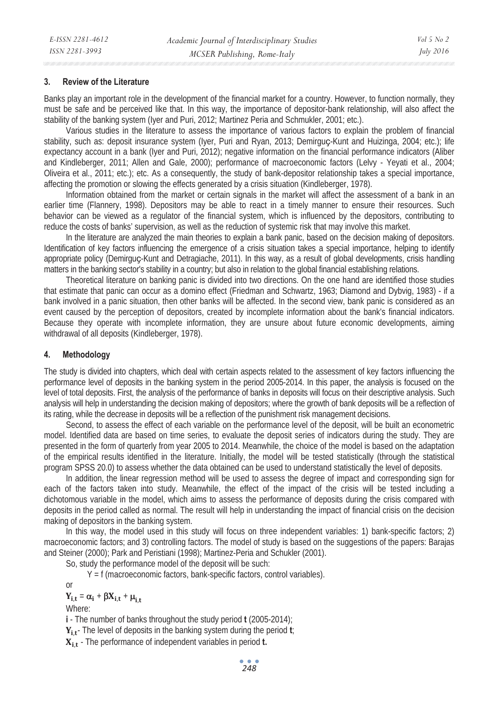#### **3. Review of the Literature**

Banks play an important role in the development of the financial market for a country. However, to function normally, they must be safe and be perceived like that. In this way, the importance of depositor-bank relationship, will also affect the stability of the banking system (Iyer and Puri, 2012; Martinez Peria and Schmukler, 2001; etc.).

Various studies in the literature to assess the importance of various factors to explain the problem of financial stability, such as: deposit insurance system (Iyer, Puri and Ryan, 2013; Demirguç-Kunt and Huizinga, 2004; etc.); life expectancy account in a bank (Iyer and Puri, 2012); negative information on the financial performance indicators (Aliber and Kindleberger, 2011; Allen and Gale, 2000); performance of macroeconomic factors (Lelvy - Yeyati et al., 2004; Oliveira et al., 2011; etc.); etc. As a consequently, the study of bank-depositor relationship takes a special importance, affecting the promotion or slowing the effects generated by a crisis situation (Kindleberger, 1978).

Information obtained from the market or certain signals in the market will affect the assessment of a bank in an earlier time (Flannery, 1998). Depositors may be able to react in a timely manner to ensure their resources. Such behavior can be viewed as a regulator of the financial system, which is influenced by the depositors, contributing to reduce the costs of banks' supervision, as well as the reduction of systemic risk that may involve this market.

In the literature are analyzed the main theories to explain a bank panic, based on the decision making of depositors. Identification of key factors influencing the emergence of a crisis situation takes a special importance, helping to identify appropriate policy (Demirguç-Kunt and Detragiache, 2011). In this way, as a result of global developments, crisis handling matters in the banking sector's stability in a country; but also in relation to the global financial establishing relations.

Theoretical literature on banking panic is divided into two directions. On the one hand are identified those studies that estimate that panic can occur as a domino effect (Friedman and Schwartz, 1963; Diamond and Dybvig, 1983) - if a bank involved in a panic situation, then other banks will be affected. In the second view, bank panic is considered as an event caused by the perception of depositors, created by incomplete information about the bank's financial indicators. Because they operate with incomplete information, they are unsure about future economic developments, aiming withdrawal of all deposits (Kindleberger, 1978).

#### **4. Methodology**

The study is divided into chapters, which deal with certain aspects related to the assessment of key factors influencing the performance level of deposits in the banking system in the period 2005-2014. In this paper, the analysis is focused on the level of total deposits. First, the analysis of the performance of banks in deposits will focus on their descriptive analysis. Such analysis will help in understanding the decision making of depositors; where the growth of bank deposits will be a reflection of its rating, while the decrease in deposits will be a reflection of the punishment risk management decisions.

Second, to assess the effect of each variable on the performance level of the deposit, will be built an econometric model. Identified data are based on time series, to evaluate the deposit series of indicators during the study. They are presented in the form of quarterly from year 2005 to 2014. Meanwhile, the choice of the model is based on the adaptation of the empirical results identified in the literature. Initially, the model will be tested statistically (through the statistical program SPSS 20.0) to assess whether the data obtained can be used to understand statistically the level of deposits.

In addition, the linear regression method will be used to assess the degree of impact and corresponding sign for each of the factors taken into study. Meanwhile, the effect of the impact of the crisis will be tested including a dichotomous variable in the model, which aims to assess the performance of deposits during the crisis compared with deposits in the period called as normal. The result will help in understanding the impact of financial crisis on the decision making of depositors in the banking system.

In this way, the model used in this study will focus on three independent variables: 1) bank-specific factors; 2) macroeconomic factors; and 3) controlling factors. The model of study is based on the suggestions of the papers: Barajas and Steiner (2000); Park and Peristiani (1998); Martinez-Peria and Schukler (2001).

So, study the performance model of the deposit will be such:

Y = f (macroeconomic factors, bank-specific factors, control variables).

$$
Y_{i,t} = \alpha_i + \beta X_{i,t} + \mu_{i,t}
$$

Where:

or

**i** - The number of banks throughout the study period **t** (2005-2014);

Y<sub>it</sub>-The level of deposits in the banking system during the period **t**;

܆ܑǡܜ - The performance of independent variables in period **t.**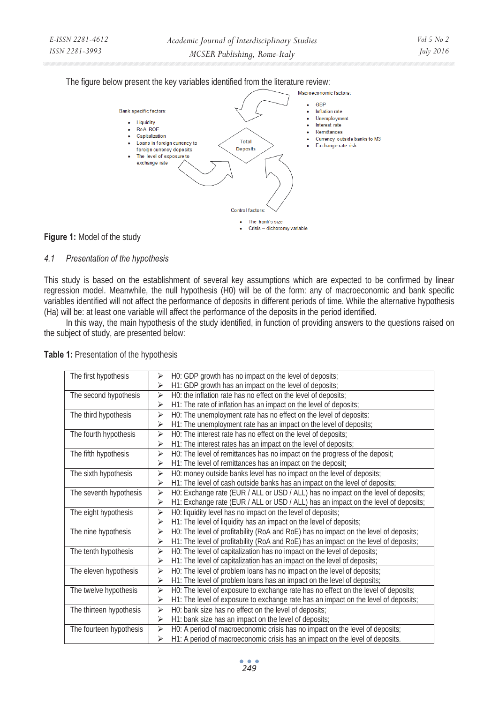The figure below present the key variables identified from the literature review:



### **Figure 1:** Model of the study

### *4.1 Presentation of the hypothesis*

This study is based on the establishment of several key assumptions which are expected to be confirmed by linear regression model. Meanwhile, the null hypothesis (H0) will be of the form: any of macroeconomic and bank specific variables identified will not affect the performance of deposits in different periods of time. While the alternative hypothesis (Ha) will be: at least one variable will affect the performance of the deposits in the period identified.

In this way, the main hypothesis of the study identified, in function of providing answers to the questions raised on the subject of study, are presented below:

| The first hypothesis    | H0: GDP growth has no impact on the level of deposits;<br>⋗                               |
|-------------------------|-------------------------------------------------------------------------------------------|
|                         | H1: GDP growth has an impact on the level of deposits;<br>⋗                               |
| The second hypothesis   | H0: the inflation rate has no effect on the level of deposits;<br>⋗                       |
|                         | H1: The rate of inflation has an impact on the level of deposits;<br>⋗                    |
| The third hypothesis    | H0: The unemployment rate has no effect on the level of deposits:<br>⋗                    |
|                         | H1: The unemployment rate has an impact on the level of deposits;<br>⋗                    |
| The fourth hypothesis   | H0: The interest rate has no effect on the level of deposits;<br>⋗                        |
|                         | H1: The interest rates has an impact on the level of deposits;<br>⋗                       |
| The fifth hypothesis    | H0: The level of remittances has no impact on the progress of the deposit;<br>⋗           |
|                         | H1: The level of remittances has an impact on the deposit;<br>⋗                           |
| The sixth hypothesis    | H0: money outside banks level has no impact on the level of deposits;<br>⋗                |
|                         | H1: The level of cash outside banks has an impact on the level of deposits;<br>⋗          |
| The seventh hypothesis  | H0: Exchange rate (EUR / ALL or USD / ALL) has no impact on the level of deposits;<br>➤   |
|                         | H1: Exchange rate (EUR / ALL or USD / ALL) has an impact on the level of deposits;<br>➤   |
| The eight hypothesis    | H0: liquidity level has no impact on the level of deposits;<br>➤                          |
|                         | H1: The level of liquidity has an impact on the level of deposits;<br>⋗                   |
| The nine hypothesis     | H0: The level of profitability (RoA and RoE) has no impact on the level of deposits;<br>⋗ |
|                         | H1: The level of profitability (RoA and RoE) has an impact on the level of deposits;<br>⋗ |
| The tenth hypothesis    | H0: The level of capitalization has no impact on the level of deposits;<br>⋗              |
|                         | H1: The level of capitalization has an impact on the level of deposits;<br>⋗              |
| The eleven hypothesis   | H0: The level of problem loans has no impact on the level of deposits;<br>⋗               |
|                         | H1: The level of problem loans has an impact on the level of deposits;<br>⋗               |
| The twelve hypothesis   | H0: The level of exposure to exchange rate has no effect on the level of deposits;<br>⋗   |
|                         | H1: The level of exposure to exchange rate has an impact on the level of deposits;<br>➤   |
| The thirteen hypothesis | H0: bank size has no effect on the level of deposits;<br>➤                                |
|                         | H1: bank size has an impact on the level of deposits;<br>➤                                |
| The fourteen hypothesis | H0: A period of macroeconomic crisis has no impact on the level of deposits;<br>⋗         |
|                         | H1: A period of macroeconomic crisis has an impact on the level of deposits.<br>⋗         |

**Table 1:** Presentation of the hypothesis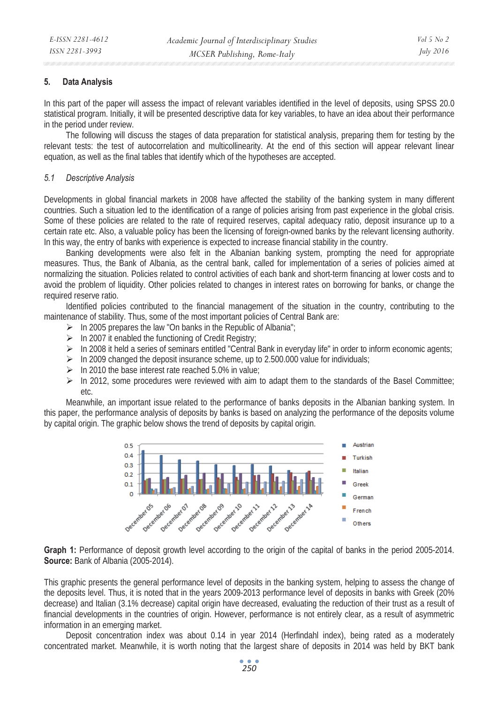### **5. Data Analysis**

In this part of the paper will assess the impact of relevant variables identified in the level of deposits, using SPSS 20.0 statistical program. Initially, it will be presented descriptive data for key variables, to have an idea about their performance in the period under review.

The following will discuss the stages of data preparation for statistical analysis, preparing them for testing by the relevant tests: the test of autocorrelation and multicollinearity. At the end of this section will appear relevant linear equation, as well as the final tables that identify which of the hypotheses are accepted.

#### *5.1 Descriptive Analysis*

Developments in global financial markets in 2008 have affected the stability of the banking system in many different countries. Such a situation led to the identification of a range of policies arising from past experience in the global crisis. Some of these policies are related to the rate of required reserves, capital adequacy ratio, deposit insurance up to a certain rate etc. Also, a valuable policy has been the licensing of foreign-owned banks by the relevant licensing authority. In this way, the entry of banks with experience is expected to increase financial stability in the country.

Banking developments were also felt in the Albanian banking system, prompting the need for appropriate measures. Thus, the Bank of Albania, as the central bank, called for implementation of a series of policies aimed at normalizing the situation. Policies related to control activities of each bank and short-term financing at lower costs and to avoid the problem of liquidity. Other policies related to changes in interest rates on borrowing for banks, or change the required reserve ratio.

Identified policies contributed to the financial management of the situation in the country, contributing to the maintenance of stability. Thus, some of the most important policies of Central Bank are:

- $\triangleright$  In 2005 prepares the law "On banks in the Republic of Albania";
- $\triangleright$  In 2007 it enabled the functioning of Credit Registry;
- $\triangleright$  In 2008 it held a series of seminars entitled "Central Bank in everyday life" in order to inform economic agents;
- $\triangleright$  In 2009 changed the deposit insurance scheme, up to 2.500.000 value for individuals;
- $\triangleright$  In 2010 the base interest rate reached 5.0% in value;
- $\triangleright$  In 2012, some procedures were reviewed with aim to adapt them to the standards of the Basel Committee; etc.

Meanwhile, an important issue related to the performance of banks deposits in the Albanian banking system. In this paper, the performance analysis of deposits by banks is based on analyzing the performance of the deposits volume by capital origin. The graphic below shows the trend of deposits by capital origin.



**Graph 1:** Performance of deposit growth level according to the origin of the capital of banks in the period 2005-2014. **Source:** Bank of Albania (2005-2014).

This graphic presents the general performance level of deposits in the banking system, helping to assess the change of the deposits level. Thus, it is noted that in the years 2009-2013 performance level of deposits in banks with Greek (20% decrease) and Italian (3.1% decrease) capital origin have decreased, evaluating the reduction of their trust as a result of financial developments in the countries of origin. However, performance is not entirely clear, as a result of asymmetric information in an emerging market.

Deposit concentration index was about 0.14 in year 2014 (Herfindahl index), being rated as a moderately concentrated market. Meanwhile, it is worth noting that the largest share of deposits in 2014 was held by BKT bank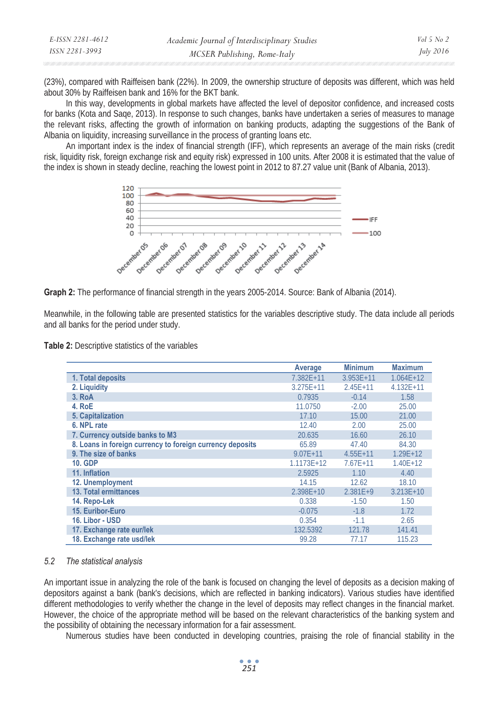| E-ISSN 2281-4612 | Academic Journal of Interdisciplinary Studies | Vol 5 No 2       |
|------------------|-----------------------------------------------|------------------|
| ISSN 2281-3993   | MCSER Publishing, Rome-Italy                  | <i>July</i> 2016 |
|                  |                                               |                  |

(23%), compared with Raiffeisen bank (22%). In 2009, the ownership structure of deposits was different, which was held about 30% by Raiffeisen bank and 16% for the BKT bank.

In this way, developments in global markets have affected the level of depositor confidence, and increased costs for banks (Kota and Saqe, 2013). In response to such changes, banks have undertaken a series of measures to manage the relevant risks, affecting the growth of information on banking products, adapting the suggestions of the Bank of Albania on liquidity, increasing surveillance in the process of granting loans etc.

An important index is the index of financial strength (IFF), which represents an average of the main risks (credit risk, liquidity risk, foreign exchange risk and equity risk) expressed in 100 units. After 2008 it is estimated that the value of the index is shown in steady decline, reaching the lowest point in 2012 to 87.27 value unit (Bank of Albania, 2013).



**Graph 2:** The performance of financial strength in the years 2005-2014. Source: Bank of Albania (2014).

Meanwhile, in the following table are presented statistics for the variables descriptive study. The data include all periods and all banks for the period under study.

**Table 2:** Descriptive statistics of the variables

|                                                           | Average       | <b>Minimum</b> | <b>Maximum</b> |
|-----------------------------------------------------------|---------------|----------------|----------------|
| 1. Total deposits                                         | $7.382E+11$   | $3.953E+11$    | $1.064E + 12$  |
| 2. Liquidity                                              | $3.275E + 11$ | $2.45E + 11$   | $4.132E + 11$  |
| 3. RoA                                                    | 0.7935        | $-0.14$        | 1.58           |
| 4. RoE                                                    | 11.0750       | $-2.00$        | 25.00          |
| 5. Capitalization                                         | 17.10         | 15.00          | 21.00          |
| 6. NPL rate                                               | 12.40         | 2.00           | 25.00          |
| 7. Currency outside banks to M3                           | 20.635        | 16.60          | 26.10          |
| 8. Loans in foreign currency to foreign currency deposits | 65.89         | 47.40          | 84.30          |
| 9. The size of banks                                      | $9.07E + 11$  | $4.55E + 11$   | $1.29E + 12$   |
| <b>10. GDP</b>                                            | 1.1173E+12    | $7.67E+11$     | $1.40E + 12$   |
| 11. Inflation                                             | 2.5925        | 1.10           | 4.40           |
| 12. Unemployment                                          | 14.15         | 12.62          | 18.10          |
| 13. Total ermittances                                     | $2.398E + 10$ | $2.381E+9$     | $3.213E+10$    |
| 14. Repo-Lek                                              | 0.338         | $-1.50$        | 1.50           |
| 15. Euribor-Euro                                          | $-0.075$      | $-1.8$         | 1.72           |
| 16. Libor - USD                                           | 0.354         | $-1.1$         | 2.65           |
| 17. Exchange rate eur/lek                                 | 132.5392      | 121.78         | 141.41         |
| 18. Exchange rate usd/lek                                 | 99.28         | 77.17          | 115.23         |

#### *5.2 The statistical analysis*

An important issue in analyzing the role of the bank is focused on changing the level of deposits as a decision making of depositors against a bank (bank's decisions, which are reflected in banking indicators). Various studies have identified different methodologies to verify whether the change in the level of deposits may reflect changes in the financial market. However, the choice of the appropriate method will be based on the relevant characteristics of the banking system and the possibility of obtaining the necessary information for a fair assessment.

Numerous studies have been conducted in developing countries, praising the role of financial stability in the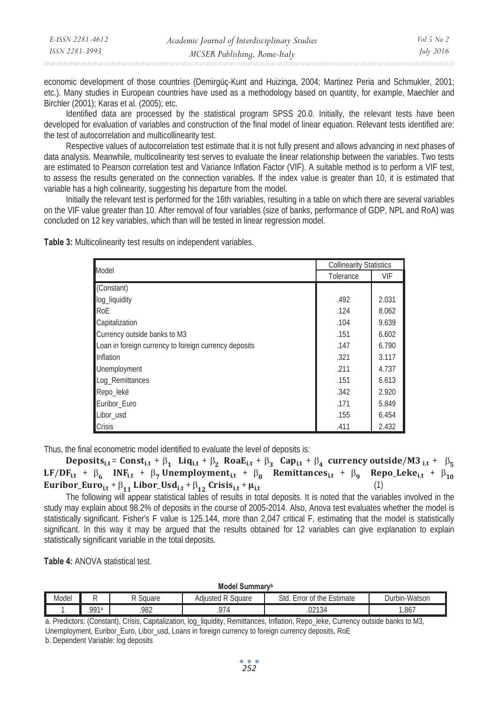| E-ISSN 2281-4612 | Academic Journal of Interdisciplinary Studies | Vol 5 No 2       |
|------------------|-----------------------------------------------|------------------|
| ISSN 2281-3993   | MCSER Publishing, Rome-Italy                  | <i>July</i> 2016 |

economic development of those countries (Demirgüç-Kunt and Huizinga, 2004; Martinez Peria and Schmukler, 2001; etc.). Many studies in European countries have used as a methodology based on quantity, for example, Maechler and Birchler (2001); Karas et al. (2005); etc.

Identified data are processed by the statistical program SPSS 20.0. Initially, the relevant tests have been developed for evaluation of variables and construction of the final model of linear equation. Relevant tests identified are: the test of autocorrelation and multicollinearity test.

Respective values of autocorrelation test estimate that it is not fully present and allows advancing in next phases of data analysis. Meanwhile, multicolinearity test serves to evaluate the linear relationship between the variables. Two tests are estimated to Pearson correlation test and Variance Inflation Factor (VIF). A suitable method is to perform a VIF test, to assess the results generated on the connection variables. If the index value is greater than 10, it is estimated that variable has a high colinearity, suggesting his departure from the model.

Initially the relevant test is performed for the 16th variables, resulting in a table on which there are several variables on the VIF value greater than 10. After removal of four variables (size of banks, performance of GDP, NPL and RoA) was concluded on 12 key variables, which than will be tested in linear regression model.

**Table 3:** Multicolinearity test results on independent variables.

| Model                                                 | <b>Collinearity Statistics</b> |       |
|-------------------------------------------------------|--------------------------------|-------|
|                                                       | Tolerance                      | VIF   |
| (Constant)                                            |                                |       |
| log_liquidity                                         | .492                           | 2.031 |
| RoE                                                   | .124                           | 8.062 |
| <b>Capitalization</b>                                 | .104                           | 9.639 |
| Currency outside banks to M3                          | .151                           | 6.602 |
| Loan in foreign currency to foreign currency deposits | .147                           | 6.790 |
| <b>Inflation</b>                                      | .321                           | 3.117 |
| Unemployment                                          | .211                           | 4.737 |
| Loq_Remittances                                       | .151                           | 6.613 |
| Repo_lekë                                             | .342                           | 2.920 |
| Euribor Euro                                          | .171                           | 5.849 |
| Libor usd                                             | .155                           | 6.454 |
| <b>Crisis</b>                                         | .411                           | 2.432 |

Thus, the final econometric model identified to evaluate the level of deposits is:

Deposits<sub>i,t</sub>= Const<sub>i,t</sub> +  $\beta_1$  Liq<sub>i,t</sub> +  $\beta_2$  Roa $E_{i,t}$  +  $\beta_3$  Cap<sub>i,t</sub> +  $\beta_4$  currency outside/M3 <sub>i,t</sub> +  $\beta_5$ LF/DF<sub>i,t</sub> +  $\beta_6$  INF<sub>i,t</sub> +  $\beta_7$ Unemployment<sub>i,t</sub> +  $\beta_8$  Remittances<sub>i,t</sub> +  $\beta_9$  Repo\_Leke<sub>i,t</sub> +  $\beta_{10}$ Euribor\_Euro<sub>i,t</sub> +  $\beta_{11}$  Libor\_Usd<sub>i,t</sub> +  $\beta_{12}$  Crisis<sub>i,t</sub> +  $\mu_{i,t}$  (1)

The following will appear statistical tables of results in total deposits. It is noted that the variables involved in the study may explain about 98.2% of deposits in the course of 2005-2014. Also, Anova test evaluates whether the model is statistically significant. Fisher's F value is 125.144, more than 2,047 critical F, estimating that the model is statistically significant. In this way it may be argued that the results obtained for 12 variables can give explanation to explain statistically significant variable in the total deposits.

**Table 4: ANOVA statistical test.** 

**Model Summaryb**

| Model | −<br>Square |                | $\overline{\phantom{0}}$<br>$\sqrt{2}$<br>Square<br>$10+$<br>aail<br>stea | Std<br>f the<br>Estimate<br>0t<br>rror | .<br>bin-Watsor<br>Jur |  |
|-------|-------------|----------------|---------------------------------------------------------------------------|----------------------------------------|------------------------|--|
|       | <b>QQ1a</b> | 002<br>. 7 O Z |                                                                           | 0.242<br>54ء،<br>UZ.                   | .867                   |  |

a. Predictors: (Constant), Crisis, Capitalization, log\_liquidity, Remittances, Inflation, Repo\_leke, Currency outside banks to M3, Unemployment, Euribor\_Euro, Libor\_usd, Loans in foreign currency to foreign currency deposits, RoE

b. Dependent Variable: log deposits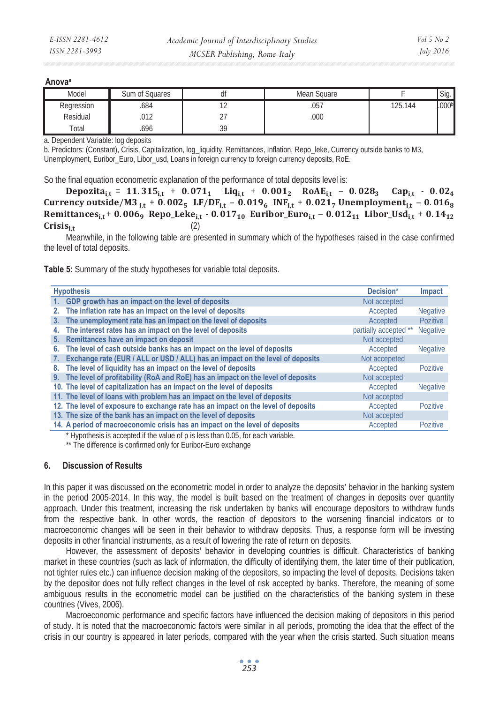#### **Anovaa**

| Model      | Sum of Squares | uı        | Mean Square |         | Sig.              |
|------------|----------------|-----------|-------------|---------|-------------------|
| Regression | .684           |           | .057        | 125.144 | .000 <sub>b</sub> |
| Residual   | .012           | ، ے       | 000.        |         |                   |
| Total      | .696           | 3d<br>ت ب |             |         |                   |

a. Dependent Variable: log deposits

b. Predictors: (Constant), Crisis, Capitalization, log\_liquidity, Remittances, Inflation, Repo\_leke, Currency outside banks to M3, Unemployment, Euribor\_Euro, Libor\_usd, Loans in foreign currency to foreign currency deposits, RoE.

So the final equation econometric explanation of the performance of total deposits level is:

 $Depozita_{i,t} = 11.315_{i,t} + 0.071_1$   $Liq_{i,t} + 0.001_2$   $RoAE_{i,t} - 0.028_3$   $Cap_{i,t} - 0.02_4$ Currency outside/M3<sub>it</sub> + 0.002<sub>5</sub> LF/DF<sub>it</sub> - 0.019<sub>6</sub> INF<sub>it</sub> + 0.021<sub>7</sub> Unemployment<sub>it</sub> - 0.016<sub>8</sub> Remittances<sub>it</sub> + 0.006<sub>9</sub> Repo\_Leke<sub>it</sub> - 0.017<sub>10</sub> Euribor\_Euro<sub>it</sub> - 0.012<sub>11</sub> Libor\_Usd<sub>it</sub> + 0.14<sub>12</sub>  $\text{Crisis}_{i}$  (2)

Meanwhile, in the following table are presented in summary which of the hypotheses raised in the case confirmed the level of total deposits.

**Table 5:** Summary of the study hypotheses for variable total deposits.

| <b>Hypothesis</b>                                                                   | Decision*             | Impact          |
|-------------------------------------------------------------------------------------|-----------------------|-----------------|
| 1. GDP growth has an impact on the level of deposits                                | Not accepted          |                 |
| 2. The inflation rate has an impact on the level of deposits                        | Accepted              | <b>Negative</b> |
| 3. The unemployment rate has an impact on the level of deposits                     | Accepted              | <b>Pozitive</b> |
| The interest rates has an impact on the level of deposits<br>4.                     | partially accepted ** | <b>Negative</b> |
| 5. Remittances have an impact on deposit                                            | Not accepted          |                 |
| The level of cash outside banks has an impact on the level of deposits<br>6.        | Accepted              | <b>Negative</b> |
| Exchange rate (EUR / ALL or USD / ALL) has an impact on the level of deposits<br>7. | Not accepeted         |                 |
| 8. The level of liquidity has an impact on the level of deposits                    | Accepted              | Pozitive        |
| 9. The level of profitability (RoA and RoE) has an impact on the level of deposits  | Not accepted          |                 |
| 10. The level of capitalization has an impact on the level of deposits              | Accepted              | <b>Negative</b> |
| 11. The level of loans with problem has an impact on the level of deposits          | Not accepted          |                 |
| 12. The level of exposure to exchange rate has an impact on the level of deposits   | Accepted              | Pozitive        |
| 13. The size of the bank has an impact on the level of deposits                     | Not accepted          |                 |
| 14. A period of macroeconomic crisis has an impact on the level of deposits         | Accepted              | Pozitive        |

\* Hypothesis is accepted if the value of p is less than 0.05, for each variable.

\*\* The difference is confirmed only for Euribor-Euro exchange

#### **6. Discussion of Results**

In this paper it was discussed on the econometric model in order to analyze the deposits' behavior in the banking system in the period 2005-2014. In this way, the model is built based on the treatment of changes in deposits over quantity approach. Under this treatment, increasing the risk undertaken by banks will encourage depositors to withdraw funds from the respective bank. In other words, the reaction of depositors to the worsening financial indicators or to macroeconomic changes will be seen in their behavior to withdraw deposits. Thus, a response form will be investing deposits in other financial instruments, as a result of lowering the rate of return on deposits.

However, the assessment of deposits' behavior in developing countries is difficult. Characteristics of banking market in these countries (such as lack of information, the difficulty of identifying them, the later time of their publication, not tighter rules etc.) can influence decision making of the depositors, so impacting the level of deposits. Decisions taken by the depositor does not fully reflect changes in the level of risk accepted by banks. Therefore, the meaning of some ambiguous results in the econometric model can be justified on the characteristics of the banking system in these countries (Vives, 2006).

Macroeconomic performance and specific factors have influenced the decision making of depositors in this period of study. It is noted that the macroeconomic factors were similar in all periods, promoting the idea that the effect of the crisis in our country is appeared in later periods, compared with the year when the crisis started. Such situation means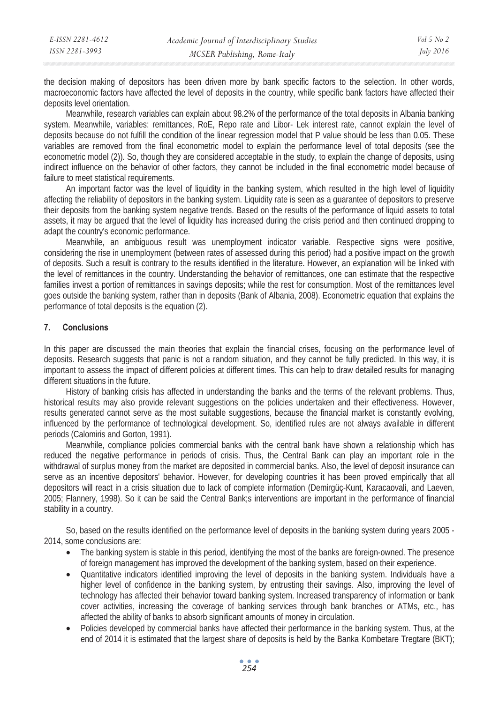| E-ISSN 2281-4612 | Academic Journal of Interdisciplinary Studies | $Vol_5$ No 2     |
|------------------|-----------------------------------------------|------------------|
| ISSN 2281-3993   | MCSER Publishing, Rome-Italy                  | <i>July 2016</i> |

the decision making of depositors has been driven more by bank specific factors to the selection. In other words, macroeconomic factors have affected the level of deposits in the country, while specific bank factors have affected their deposits level orientation.

Meanwhile, research variables can explain about 98.2% of the performance of the total deposits in Albania banking system. Meanwhile, variables: remittances, RoE, Repo rate and Libor- Lek interest rate, cannot explain the level of deposits because do not fulfill the condition of the linear regression model that P value should be less than 0.05. These variables are removed from the final econometric model to explain the performance level of total deposits (see the econometric model (2)). So, though they are considered acceptable in the study, to explain the change of deposits, using indirect influence on the behavior of other factors, they cannot be included in the final econometric model because of failure to meet statistical requirements.

An important factor was the level of liquidity in the banking system, which resulted in the high level of liquidity affecting the reliability of depositors in the banking system. Liquidity rate is seen as a guarantee of depositors to preserve their deposits from the banking system negative trends. Based on the results of the performance of liquid assets to total assets, it may be argued that the level of liquidity has increased during the crisis period and then continued dropping to adapt the country's economic performance.

Meanwhile, an ambiguous result was unemployment indicator variable. Respective signs were positive, considering the rise in unemployment (between rates of assessed during this period) had a positive impact on the growth of deposits. Such a result is contrary to the results identified in the literature. However, an explanation will be linked with the level of remittances in the country. Understanding the behavior of remittances, one can estimate that the respective families invest a portion of remittances in savings deposits; while the rest for consumption. Most of the remittances level goes outside the banking system, rather than in deposits (Bank of Albania, 2008). Econometric equation that explains the performance of total deposits is the equation (2).

### **7. Conclusions**

In this paper are discussed the main theories that explain the financial crises, focusing on the performance level of deposits. Research suggests that panic is not a random situation, and they cannot be fully predicted. In this way, it is important to assess the impact of different policies at different times. This can help to draw detailed results for managing different situations in the future.

History of banking crisis has affected in understanding the banks and the terms of the relevant problems. Thus, historical results may also provide relevant suggestions on the policies undertaken and their effectiveness. However, results generated cannot serve as the most suitable suggestions, because the financial market is constantly evolving, influenced by the performance of technological development. So, identified rules are not always available in different periods (Calomiris and Gorton, 1991).

Meanwhile, compliance policies commercial banks with the central bank have shown a relationship which has reduced the negative performance in periods of crisis. Thus, the Central Bank can play an important role in the withdrawal of surplus money from the market are deposited in commercial banks. Also, the level of deposit insurance can serve as an incentive depositors' behavior. However, for developing countries it has been proved empirically that all depositors will react in a crisis situation due to lack of complete information (Demirgüç-Kunt, Karacaovali, and Laeven, 2005; Flannery, 1998). So it can be said the Central Bank;s interventions are important in the performance of financial stability in a country.

So, based on the results identified on the performance level of deposits in the banking system during years 2005 - 2014, some conclusions are:

- The banking system is stable in this period, identifying the most of the banks are foreign-owned. The presence of foreign management has improved the development of the banking system, based on their experience.
- Quantitative indicators identified improving the level of deposits in the banking system. Individuals have a higher level of confidence in the banking system, by entrusting their savings. Also, improving the level of technology has affected their behavior toward banking system. Increased transparency of information or bank cover activities, increasing the coverage of banking services through bank branches or ATMs, etc., has affected the ability of banks to absorb significant amounts of money in circulation.
- Policies developed by commercial banks have affected their performance in the banking system. Thus, at the end of 2014 it is estimated that the largest share of deposits is held by the Banka Kombetare Tregtare (BKT);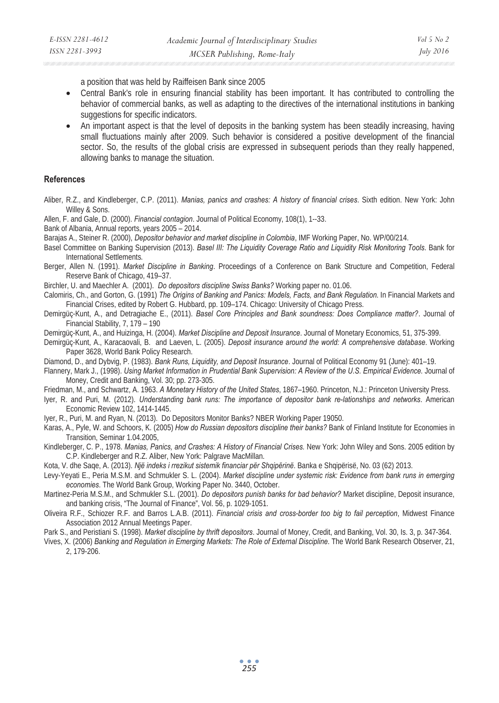a position that was held by Raiffeisen Bank since 2005

- Central Bank's role in ensuring financial stability has been important. It has contributed to controlling the behavior of commercial banks, as well as adapting to the directives of the international institutions in banking suggestions for specific indicators.
- An important aspect is that the level of deposits in the banking system has been steadily increasing, having small fluctuations mainly after 2009. Such behavior is considered a positive development of the financial sector. So, the results of the global crisis are expressed in subsequent periods than they really happened, allowing banks to manage the situation.

### **References**

Aliber, R.Z., and Kindleberger, C.P. (2011). *Manias, panics and crashes: A history of financial crises*. Sixth edition. New York: John Willey & Sons.

Allen, F. and Gale, D. (2000). *Financial contagion*. Journal of Political Economy, 108(1), 1--33.

Bank of Albania, Annual reports, years 2005 – 2014.

Barajas A., Steiner R. (2000), *Depositor behavior and market discipline in Colombia*, IMF Working Paper, No. WP/00/214.

Basel Committee on Banking Supervision (2013). *Basel III: The Liquidity Coverage Ratio and Liquidity Risk Monitoring Tools*. Bank for International Settlements*.*

Berger, Allen N. (1991). *Market Discipline in Banking*. Proceedings of a Conference on Bank Structure and Competition, Federal Reserve Bank of Chicago, 419–37.

Birchler, U. and Maechler A. (2001). *Do depositors discipline Swiss Banks?* Working paper no. 01.06.

Calomiris, Ch., and Gorton, G. (1991) *The Origins of Banking and Panics: Models, Facts, and Bank Regulation*. In Financial Markets and Financial Crises, edited by Robert G. Hubbard, pp. 109–174. Chicago: University of Chicago Press.

Demirgüç-Kunt, A., and Detragiache E., (2011). *Basel Core Principles and Bank soundness: Does Compliance matter?*. Journal of Financial Stability, 7, 179 – 190

Demirgüç-Kunt, A., and Huizinga, H. (2004). *Market Discipline and Deposit Insurance*. Journal of Monetary Economics, 51, 375-399.

Demirgüç-Kunt, A., Karacaovali, B. and Laeven, L. (2005). *Deposit insurance around the world: A comprehensive database*. Working Paper 3628, World Bank Policy Research.

Diamond, D., and Dybvig, P. (1983). *Bank Runs, Liquidity, and Deposit Insurance*. Journal of Political Economy 91 (June): 401–19.

Flannery, Mark J., (1998). *Using Market Information in Prudential Bank Supervision: A Review of the U.S. Empirical Evidence*. Journal of Money, Credit and Banking, Vol. 30; pp. 273-305.

Friedman, M., and Schwartz, A. 1963. *A Monetary History of the United States*, 1867–1960. Princeton, N.J.: Princeton University Press.

Iyer, R. and Puri, M. (2012). *Understanding bank runs: The importance of depositor bank re-lationships and networks*. American Economic Review 102, 1414-1445.

Iyer, R., Puri, M. and Ryan, N. (2013). Do Depositors Monitor Banks? NBER Working Paper 19050.

Karas, A., Pyle, W. and Schoors, K. (2005) *How do Russian depositors discipline their banks?* Bank of Finland Institute for Economies in Transition, Seminar 1.04.2005,

Kindleberger, C. P., 1978. *Manias, Panics, and Crashes: A History of Financial Crises.* New York: John Wiley and Sons. 2005 edition by C.P. Kindleberger and R.Z. Aliber, New York: Palgrave MacMillan.

Kota, V. dhe Saqe, A. (2013). *Një indeks i rrezikut sistemik financiar për Shqipërinë*. Banka e Shqipërisë, No. 03 (62) 2013.

Levy-Yeyati E., Peria M.S.M. and Schmukler S. L. (2004). *Market discipline under systemic risk: Evidence from bank runs in emerging economies*. The World Bank Group, Working Paper No. 3440, October.

Martinez-Peria M.S.M., and Schmukler S.L. (2001). *Do depositors punish banks for bad behavior?* Market discipline, Deposit insurance, and banking crisis, "The Journal of Finance", Vol. 56, p. 1029-1051.

Oliveira R.F., Schiozer R.F. and Barros L.A.B. (2011). *Financial crisis and cross-border too big to fail perception*, Midwest Finance Association 2012 Annual Meetings Paper.

Park S., and Peristiani S. (1998). *Market discipline by thrift depositors*. Journal of Money, Credit, and Banking, Vol. 30, Is. 3, p. 347-364.

Vives, X. (2006) *Banking and Regulation in Emerging Markets: The Role of External Discipline*. The World Bank Research Observer, 21, 2, 179-206.